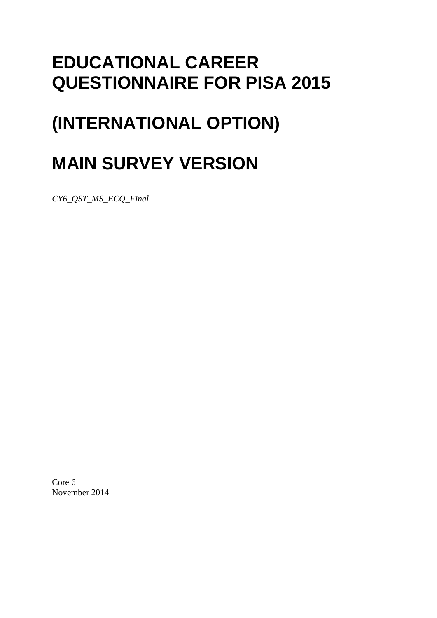# **EDUCATIONAL CAREER QUESTIONNAIRE FOR PISA 2015**

# **(INTERNATIONAL OPTION)**

# **MAIN SURVEY VERSION**

*CY6\_QST\_MS\_ECQ\_Final*

Core 6 November 2014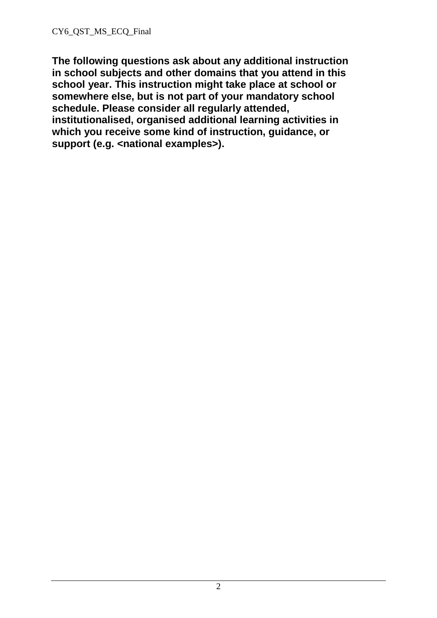**The following questions ask about any additional instruction in school subjects and other domains that you attend in this school year. This instruction might take place at school or somewhere else, but is not part of your mandatory school schedule. Please consider all regularly attended, institutionalised, organised additional learning activities in which you receive some kind of instruction, guidance, or**  support (e.g. <national examples>).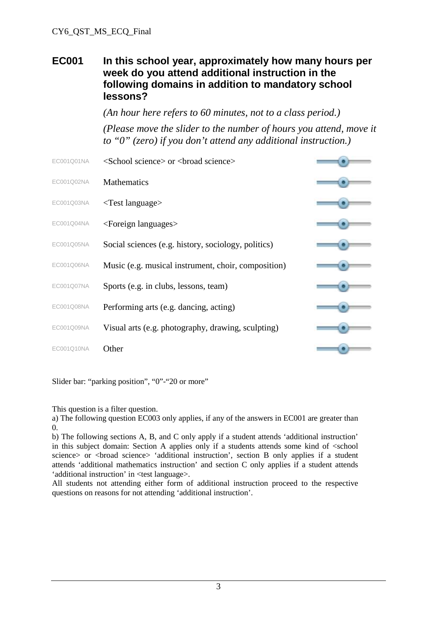#### **EC001 In this school year, approximately how many hours per week do you attend additional instruction in the following domains in addition to mandatory school lessons?**

*(An hour here refers to 60 minutes, not to a class period.)*

*(Please move the slider to the number of hours you attend, move it to "0" (zero) if you don't attend any additional instruction.)*

| EC001Q01NA | <school science=""> or <br/>broad science&gt;</school> |  |
|------------|--------------------------------------------------------|--|
| EC001Q02NA | <b>Mathematics</b>                                     |  |
| EC001Q03NA | $\langle$ Test language $\rangle$                      |  |
| EC001Q04NA | <foreign languages=""></foreign>                       |  |
| EC001Q05NA | Social sciences (e.g. history, sociology, politics)    |  |
| EC001Q06NA | Music (e.g. musical instrument, choir, composition)    |  |
| EC001Q07NA | Sports (e.g. in clubs, lessons, team)                  |  |
| EC001Q08NA | Performing arts (e.g. dancing, acting)                 |  |
| EC001Q09NA | Visual arts (e.g. photography, drawing, sculpting)     |  |
| EC001Q10NA | Other                                                  |  |
|            |                                                        |  |

Slider bar: "parking position", "0"-"20 or more"

This question is a filter question.

a) The following question EC003 only applies, if any of the answers in EC001 are greater than 0.

b) The following sections A, B, and C only apply if a student attends 'additional instruction' in this subject domain: Section A applies only if a students attends some kind of <school science> or <br/> <br/> <br/> <br/>
science> 'additional instruction', section B only applies if a student attends 'additional mathematics instruction' and section C only applies if a student attends 'additional instruction' in <test language>.

All students not attending either form of additional instruction proceed to the respective questions on reasons for not attending 'additional instruction'.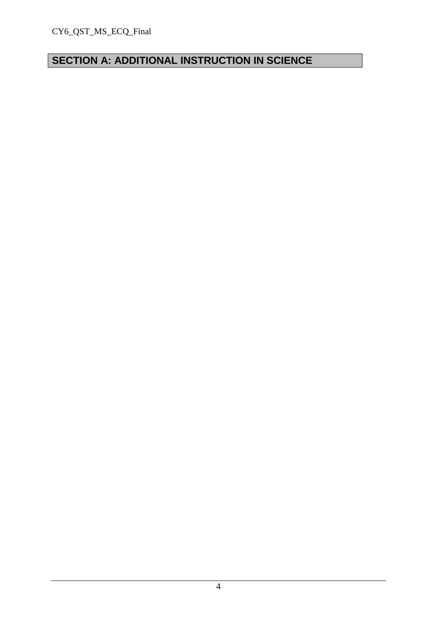# **SECTION A: ADDITIONAL INSTRUCTION IN SCIENCE**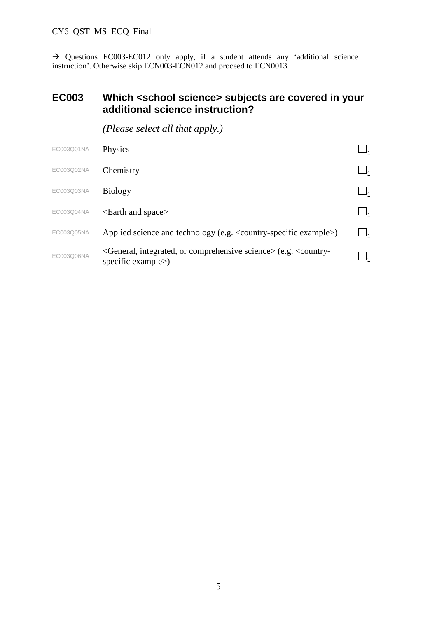$\rightarrow$  Questions EC003-EC012 only apply, if a student attends any 'additional science instruction'. Otherwise skip ECN003-ECN012 and proceed to ECN0013.

#### **EC003 Which <school science> subjects are covered in your additional science instruction?**

| EC003Q01NA | Physics                                                                                                                       |  |
|------------|-------------------------------------------------------------------------------------------------------------------------------|--|
| EC003Q02NA | Chemistry                                                                                                                     |  |
| EC003Q03NA | <b>Biology</b>                                                                                                                |  |
| EC003Q04NA | $\epsilon$ -Earth and space $>$                                                                                               |  |
| EC003Q05NA | Applied science and technology (e.g. < country-specific example>)                                                             |  |
| EC003Q06NA | <general, comprehensive="" integrated,="" or="" science=""> (e.g. <country-<br>specific example&gt;)</country-<br></general,> |  |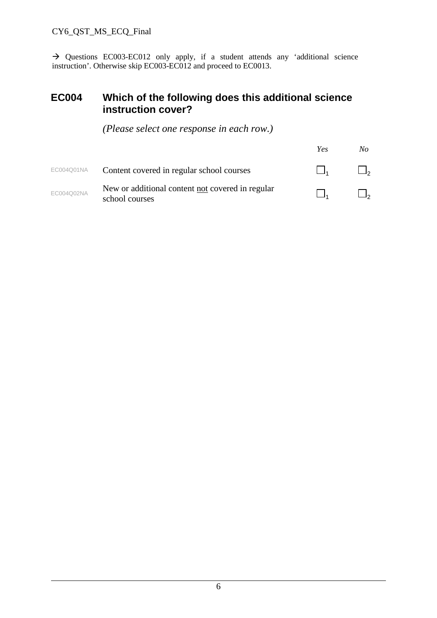$\rightarrow$  Questions EC003-EC012 only apply, if a student attends any 'additional science instruction'. Otherwise skip EC003-EC012 and proceed to EC0013.

#### **EC004 Which of the following does this additional science instruction cover?**

|            |                                                                    | Yes | No |
|------------|--------------------------------------------------------------------|-----|----|
| EC004Q01NA | Content covered in regular school courses                          |     |    |
| EC004Q02NA | New or additional content not covered in regular<br>school courses |     |    |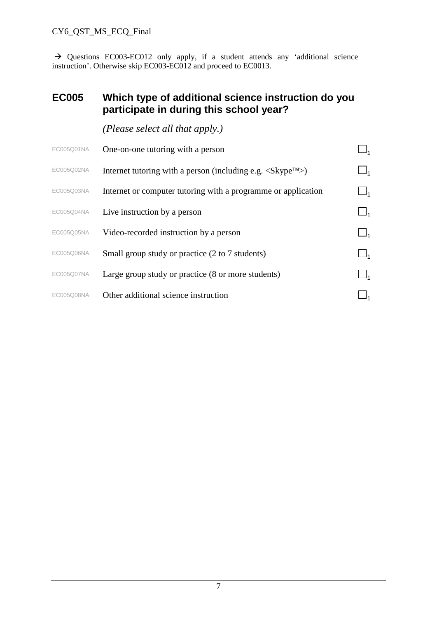$\rightarrow$  Questions EC003-EC012 only apply, if a student attends any 'additional science instruction'. Otherwise skip EC003-EC012 and proceed to EC0013.

### **EC005 Which type of additional science instruction do you participate in during this school year?**

| EC005Q01NA | One-on-one tutoring with a person                                                                       |                |
|------------|---------------------------------------------------------------------------------------------------------|----------------|
| EC005Q02NA | Internet tutoring with a person (including e.g. $\langle$ Skype <sup><math>\text{TM}</math></sup> $>$ ) | $\sqcup_1$     |
| EC005Q03NA | Internet or computer tutoring with a programme or application                                           | $\mathsf{L}_1$ |
| EC005Q04NA | Live instruction by a person                                                                            |                |
| EC005Q05NA | Video-recorded instruction by a person                                                                  |                |
| EC005Q06NA | Small group study or practice (2 to 7 students)                                                         | $\Box_1$       |
| EC005Q07NA | Large group study or practice (8 or more students)                                                      | $\sqcup_1$     |
| EC005Q08NA | Other additional science instruction                                                                    |                |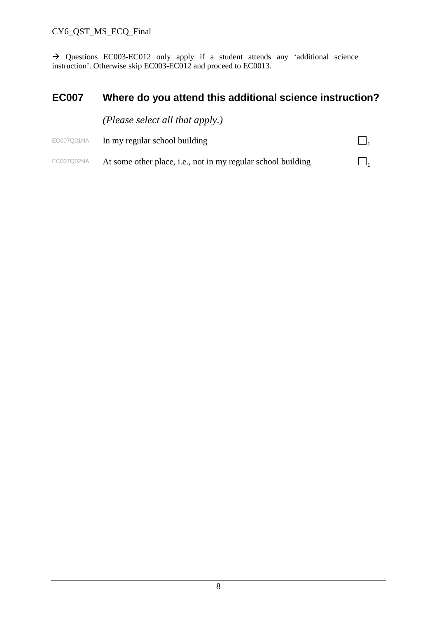$\rightarrow$  Questions EC003-EC012 only apply if a student attends any 'additional science instruction'. Otherwise skip EC003-EC012 and proceed to EC0013.

# **EC007 Where do you attend this additional science instruction?**

|            | ( <i>Please select all that apply.</i> )                     |  |
|------------|--------------------------------------------------------------|--|
| EC007Q01NA | In my regular school building                                |  |
| EC007Q02NA | At some other place, i.e., not in my regular school building |  |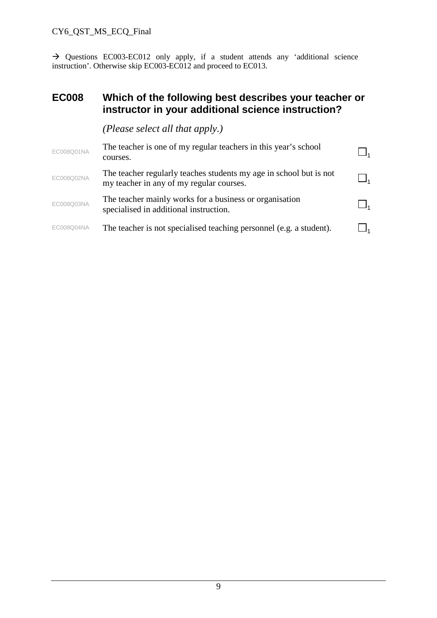$\rightarrow$  Questions EC003-EC012 only apply, if a student attends any 'additional science instruction'. Otherwise skip EC003-EC012 and proceed to EC013.

#### **EC008 Which of the following best describes your teacher or instructor in your additional science instruction?**

| EC008Q01NA | The teacher is one of my regular teachers in this year's school<br>courses.                                    |  |
|------------|----------------------------------------------------------------------------------------------------------------|--|
| EC008Q02NA | The teacher regularly teaches students my age in school but is not<br>my teacher in any of my regular courses. |  |
| EC008Q03NA | The teacher mainly works for a business or organisation<br>specialised in additional instruction.              |  |
| EC008Q04NA | The teacher is not specialised teaching personnel (e.g. a student).                                            |  |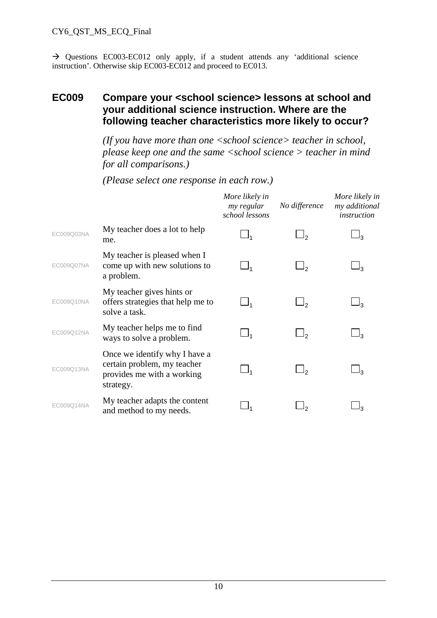$\rightarrow$  Questions EC003-EC012 only apply, if a student attends any 'additional science instruction'. Otherwise skip EC003-EC012 and proceed to EC013.

#### **EC009 Compare your <school science> lessons at school and your additional science instruction. Where are the following teacher characteristics more likely to occur?**

*(If you have more than one <school science> teacher in school, please keep one and the same <school science > teacher in mind for all comparisons.)*

|            |                                                                                                         | More likely in<br>my regular<br>school lessons | No difference | More likely in<br>my additional<br>instruction |
|------------|---------------------------------------------------------------------------------------------------------|------------------------------------------------|---------------|------------------------------------------------|
| EC009Q03NA | My teacher does a lot to help<br>me.                                                                    | $\Box_1$                                       |               |                                                |
| EC009Q07NA | My teacher is pleased when I<br>come up with new solutions to<br>a problem.                             | $\Box_1$                                       | ر ل           | ج ل                                            |
| EC009Q10NA | My teacher gives hints or<br>offers strategies that help me to<br>solve a task.                         | $\Box_1$                                       | 9ر            | ⊥ვ                                             |
| EC009Q12NA | My teacher helps me to find<br>ways to solve a problem.                                                 | $\Box_1$                                       | ەل            | 13                                             |
| EC009Q13NA | Once we identify why I have a<br>certain problem, my teacher<br>provides me with a working<br>strategy. | $\Box_1$                                       | را            | ډك                                             |
| EC009Q14NA | My teacher adapts the content<br>and method to my needs.                                                |                                                |               |                                                |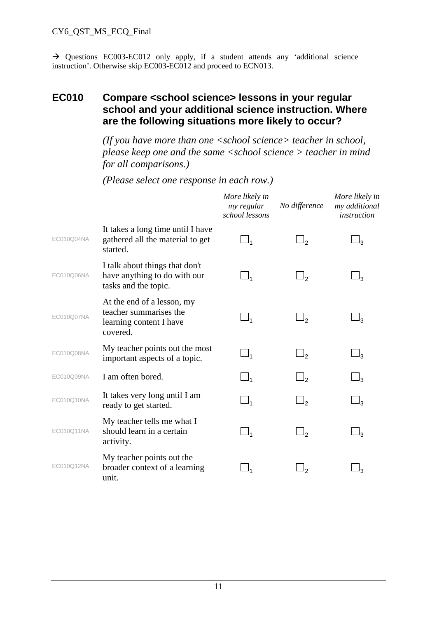$\rightarrow$  Questions EC003-EC012 only apply, if a student attends any 'additional science instruction'. Otherwise skip EC003-EC012 and proceed to ECN013.

### **EC010 Compare <school science> lessons in your regular school and your additional science instruction. Where are the following situations more likely to occur?**

*(If you have more than one <school science> teacher in school, please keep one and the same <school science > teacher in mind for all comparisons.)*

|            |                                                                                             | More likely in<br>my regular<br>school lessons | No difference       | More likely in<br>my additional<br><i>instruction</i> |
|------------|---------------------------------------------------------------------------------------------|------------------------------------------------|---------------------|-------------------------------------------------------|
| EC010Q04NA | It takes a long time until I have<br>gathered all the material to get<br>started.           | $\Box_1$                                       | $\Box_2$            | $\sqcup_3$                                            |
| EC010Q06NA | I talk about things that don't<br>have anything to do with our<br>tasks and the topic.      | $\Box_1$                                       | $\Box_2$            | $\sqcup_3$                                            |
| EC010Q07NA | At the end of a lesson, my<br>teacher summarises the<br>learning content I have<br>covered. | $\Box_1$                                       | $\Box$ <sub>2</sub> | $\sqcup_3$                                            |
| EC010Q08NA | My teacher points out the most<br>important aspects of a topic.                             | $\Box_1$                                       | $\Box_2$            | $\sqcup_3$                                            |
| EC010Q09NA | I am often bored.                                                                           | $\Box_1$                                       | $\Box$              | $\sqcup_3$                                            |
| EC010Q10NA | It takes very long until I am<br>ready to get started.                                      | $\Box_1$                                       | $\Box$ <sub>2</sub> | $\sqcup_3$                                            |
| EC010Q11NA | My teacher tells me what I<br>should learn in a certain<br>activity.                        | $\Box_1$                                       | $\Box_2$            | $\sqcup_3$                                            |
| EC010Q12NA | My teacher points out the<br>broader context of a learning<br>unit.                         |                                                |                     | و ل                                                   |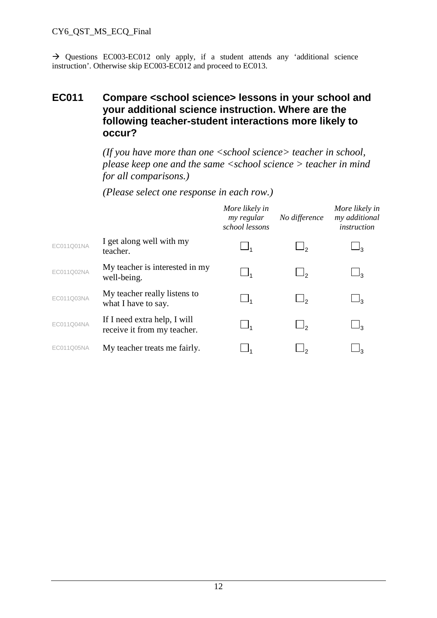$\rightarrow$  Questions EC003-EC012 only apply, if a student attends any 'additional science instruction'. Otherwise skip EC003-EC012 and proceed to EC013.

## **EC011 Compare <school science> lessons in your school and your additional science instruction. Where are the following teacher-student interactions more likely to occur?**

*(If you have more than one <school science> teacher in school, please keep one and the same <school science > teacher in mind for all comparisons.)*

|            |                                                             | More likely in<br>my regular<br>school lessons | No difference | More likely in<br>my additional<br>instruction |
|------------|-------------------------------------------------------------|------------------------------------------------|---------------|------------------------------------------------|
| EC011Q01NA | I get along well with my<br>teacher.                        |                                                | ⊣າ            | ני                                             |
| EC011Q02NA | My teacher is interested in my<br>well-being.               | $\_$                                           |               | $\frac{1}{3}$                                  |
| EC011Q03NA | My teacher really listens to<br>what I have to say.         | $\Box_1$                                       | ر ك           | $\mathsf{1}_3$                                 |
| EC011Q04NA | If I need extra help, I will<br>receive it from my teacher. | $\Box_1$                                       |               |                                                |
| EC011Q05NA | My teacher treats me fairly.                                |                                                |               |                                                |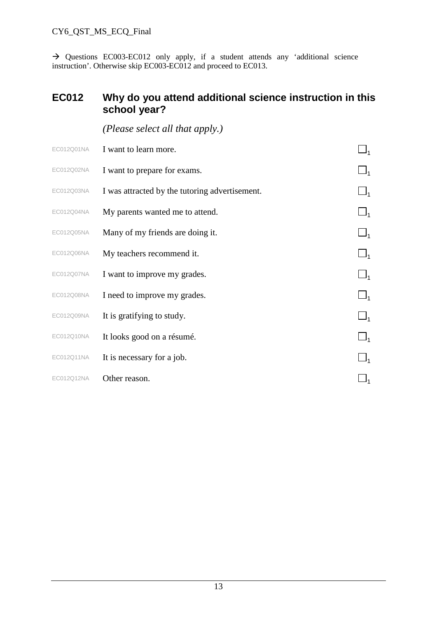$\rightarrow$  Questions EC003-EC012 only apply, if a student attends any 'additional science instruction'. Otherwise skip EC003-EC012 and proceed to EC013.

## **EC012 Why do you attend additional science instruction in this school year?**

|            | (Please select all that apply.)                |          |
|------------|------------------------------------------------|----------|
| EC012Q01NA | I want to learn more.                          |          |
| EC012Q02NA | I want to prepare for exams.                   |          |
| EC012Q03NA | I was attracted by the tutoring advertisement. |          |
| EC012Q04NA | My parents wanted me to attend.                | $\Box_1$ |
| EC012Q05NA | Many of my friends are doing it.               | $\Box_1$ |
| EC012Q06NA | My teachers recommend it.                      | $\Box_1$ |
| EC012Q07NA | I want to improve my grades.                   | $\Box_1$ |
| EC012Q08NA | I need to improve my grades.                   | $\Box_1$ |
| EC012Q09NA | It is gratifying to study.                     | $\Box_1$ |
| EC012Q10NA | It looks good on a résumé.                     | $\Box_1$ |
| EC012Q11NA | It is necessary for a job.                     |          |
| EC012Q12NA | Other reason.                                  |          |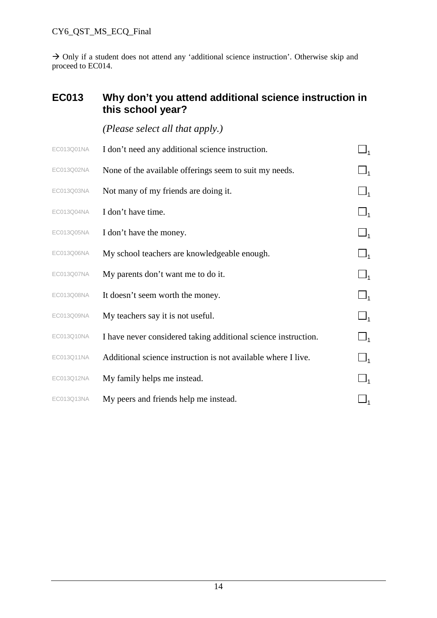$\rightarrow$  Only if a student does not attend any 'additional science instruction'. Otherwise skip and proceed to EC014.

# **EC013 Why don't you attend additional science instruction in this school year?**

| EC013Q01NA | I don't need any additional science instruction.               | $\Box_1$ |
|------------|----------------------------------------------------------------|----------|
| EC013Q02NA | None of the available offerings seem to suit my needs.         | $\Box_1$ |
| EC013Q03NA | Not many of my friends are doing it.                           | $\Box_1$ |
| EC013Q04NA | I don't have time.                                             | $\Box_1$ |
| EC013Q05NA | I don't have the money.                                        | $\Box_1$ |
| EC013Q06NA | My school teachers are knowledgeable enough.                   | $\Box_1$ |
| EC013Q07NA | My parents don't want me to do it.                             | $\Box_1$ |
| EC013Q08NA | It doesn't seem worth the money.                               | $\Box_1$ |
| EC013Q09NA | My teachers say it is not useful.                              | $\Box_1$ |
| EC013Q10NA | I have never considered taking additional science instruction. | $\Box_1$ |
| EC013Q11NA | Additional science instruction is not available where I live.  | $\Box_1$ |
| EC013Q12NA | My family helps me instead.                                    |          |
| EC013Q13NA | My peers and friends help me instead.                          |          |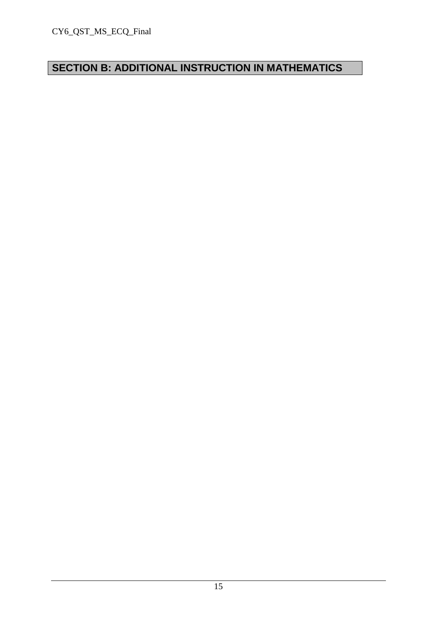# **SECTION B: ADDITIONAL INSTRUCTION IN MATHEMATICS**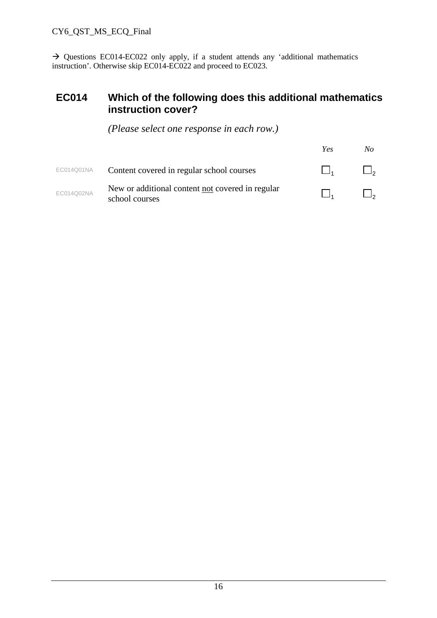$\rightarrow$  Questions EC014-EC022 only apply, if a student attends any 'additional mathematics instruction'. Otherwise skip EC014-EC022 and proceed to EC023.

#### **EC014 Which of the following does this additional mathematics instruction cover?**

|            |                                                                    | Yes | No |
|------------|--------------------------------------------------------------------|-----|----|
| EC014Q01NA | Content covered in regular school courses                          |     |    |
| EC014Q02NA | New or additional content not covered in regular<br>school courses |     |    |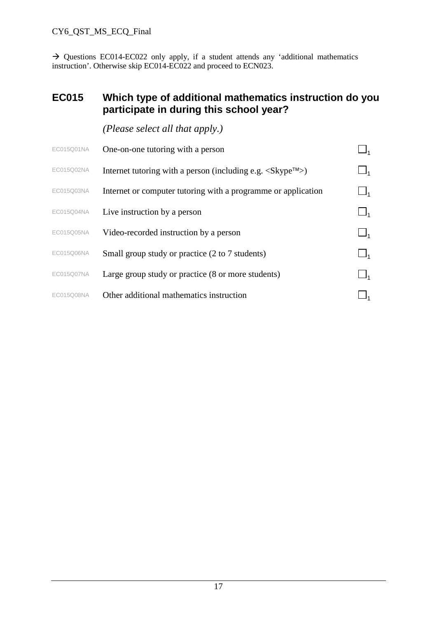$\rightarrow$  Questions EC014-EC022 only apply, if a student attends any 'additional mathematics instruction'. Otherwise skip EC014-EC022 and proceed to ECN023.

### **EC015 Which type of additional mathematics instruction do you participate in during this school year?**

| EC015Q01NA | One-on-one tutoring with a person                                                  |  |
|------------|------------------------------------------------------------------------------------|--|
| EC015Q02NA | Internet tutoring with a person (including e.g. $\langle$ Skype $^{T M} \rangle$ ) |  |
| EC015Q03NA | Internet or computer tutoring with a programme or application                      |  |
| EC015Q04NA | Live instruction by a person                                                       |  |
| EC015Q05NA | Video-recorded instruction by a person                                             |  |
| EC015Q06NA | Small group study or practice (2 to 7 students)                                    |  |
| EC015Q07NA | Large group study or practice (8 or more students)                                 |  |
| EC015Q08NA | Other additional mathematics instruction                                           |  |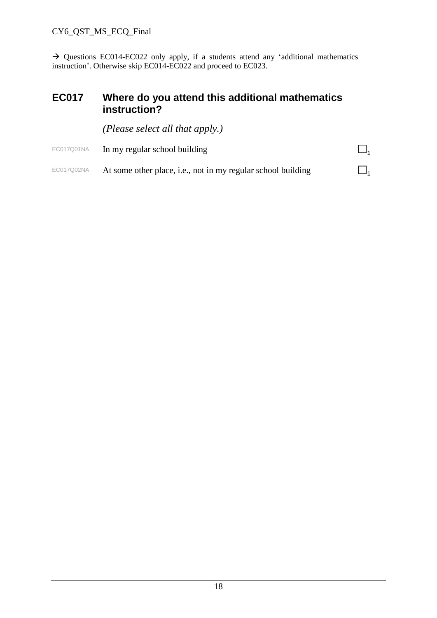$\rightarrow$  Questions EC014-EC022 only apply, if a students attend any 'additional mathematics instruction'. Otherwise skip EC014-EC022 and proceed to EC023.

#### **EC017 Where do you attend this additional mathematics instruction?**

*(Please select all that apply.)*

EC017Q01NA In my regular school building  $\square_1$ EC017Q02NA At some other place, i.e., not in my regular school building  $\square_1$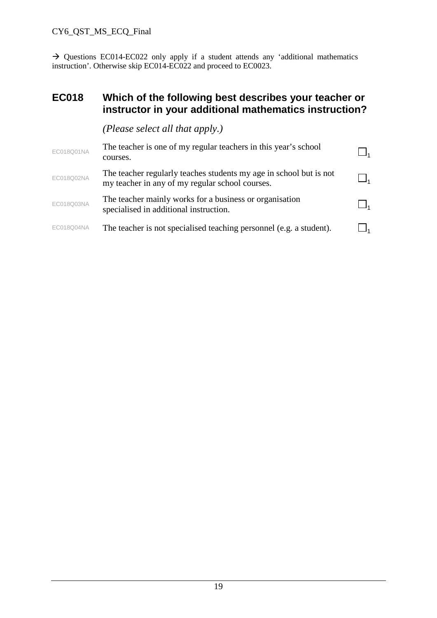$\rightarrow$  Questions EC014-EC022 only apply if a student attends any 'additional mathematics instruction'. Otherwise skip EC014-EC022 and proceed to EC0023.

#### **EC018 Which of the following best describes your teacher or instructor in your additional mathematics instruction?**

| EC018Q01NA | The teacher is one of my regular teachers in this year's school<br>courses.                                           |  |
|------------|-----------------------------------------------------------------------------------------------------------------------|--|
| EC018Q02NA | The teacher regularly teaches students my age in school but is not<br>my teacher in any of my regular school courses. |  |
| EC018Q03NA | The teacher mainly works for a business or organisation<br>specialised in additional instruction.                     |  |
| EC018Q04NA | The teacher is not specialised teaching personnel (e.g. a student).                                                   |  |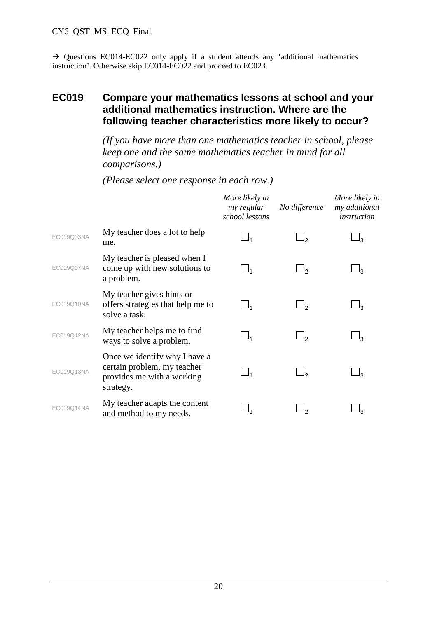$\rightarrow$  Questions EC014-EC022 only apply if a student attends any 'additional mathematics instruction'. Otherwise skip EC014-EC022 and proceed to EC023.

### **EC019 Compare your mathematics lessons at school and your additional mathematics instruction. Where are the following teacher characteristics more likely to occur?**

*(If you have more than one mathematics teacher in school, please keep one and the same mathematics teacher in mind for all comparisons.)*

|            |                                                                                                         | More likely in<br>my regular<br>school lessons | No difference  | More likely in<br>my additional<br><i>instruction</i> |
|------------|---------------------------------------------------------------------------------------------------------|------------------------------------------------|----------------|-------------------------------------------------------|
| EC019Q03NA | My teacher does a lot to help<br>me.                                                                    |                                                | را             |                                                       |
| EC019Q07NA | My teacher is pleased when I<br>come up with new solutions to<br>a problem.                             |                                                |                |                                                       |
| EC019Q10NA | My teacher gives hints or<br>offers strategies that help me to<br>solve a task.                         |                                                |                |                                                       |
| EC019Q12NA | My teacher helps me to find<br>ways to solve a problem.                                                 | $\Box_1$                                       | را             | ډل                                                    |
| EC019Q13NA | Once we identify why I have a<br>certain problem, my teacher<br>provides me with a working<br>strategy. |                                                | 1 <sub>2</sub> | 13                                                    |
| EC019Q14NA | My teacher adapts the content<br>and method to my needs.                                                |                                                |                | 12                                                    |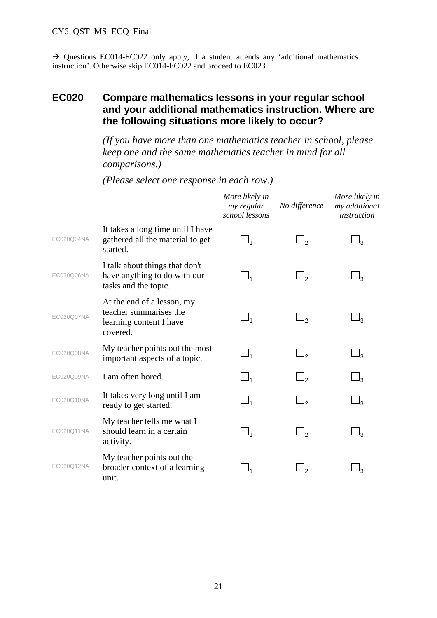$\rightarrow$  Questions EC014-EC022 only apply, if a student attends any 'additional mathematics instruction'. Otherwise skip EC014-EC022 and proceed to EC023.

### **EC020 Compare mathematics lessons in your regular school and your additional mathematics instruction. Where are the following situations more likely to occur?**

*(If you have more than one mathematics teacher in school, please keep one and the same mathematics teacher in mind for all comparisons.)*

|            |                                                                                             | More likely in<br>my regular<br>school lessons | No difference       | More likely in<br>my additional<br><i>instruction</i> |
|------------|---------------------------------------------------------------------------------------------|------------------------------------------------|---------------------|-------------------------------------------------------|
| EC020Q04NA | It takes a long time until I have<br>gathered all the material to get<br>started.           | $\Box_1$                                       | $\Box_2$            | $\sqcup_3$                                            |
| EC020Q06NA | I talk about things that don't<br>have anything to do with our<br>tasks and the topic.      | $\Box_1$                                       | $\Box_2$            | $\sqcup_3$                                            |
| EC020Q07NA | At the end of a lesson, my<br>teacher summarises the<br>learning content I have<br>covered. | $\Box_1$                                       | $\Box$ <sub>2</sub> | $\sqcup_3$                                            |
| EC020Q08NA | My teacher points out the most<br>important aspects of a topic.                             | $\Box_1$                                       | $\Box_2$            | $\sqcup_3$                                            |
| EC020Q09NA | I am often bored.                                                                           | $\Box_1$                                       | $\Box$              | $\sqcup_3$                                            |
| EC020Q10NA | It takes very long until I am<br>ready to get started.                                      | $\Box_1$                                       | $\Box$ <sub>2</sub> | $\sqcup_3$                                            |
| EC020Q11NA | My teacher tells me what I<br>should learn in a certain<br>activity.                        | $\Box_1$                                       | $\Box_2$            | $\sqcup_3$                                            |
| EC020Q12NA | My teacher points out the<br>broader context of a learning<br>unit.                         |                                                |                     | و ل                                                   |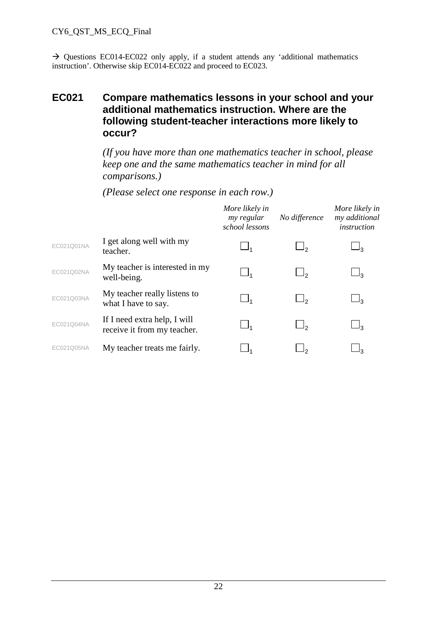$\rightarrow$  Questions EC014-EC022 only apply, if a student attends any 'additional mathematics instruction'. Otherwise skip EC014-EC022 and proceed to EC023.

## **EC021 Compare mathematics lessons in your school and your additional mathematics instruction. Where are the following student-teacher interactions more likely to occur?**

*(If you have more than one mathematics teacher in school, please keep one and the same mathematics teacher in mind for all comparisons.)*

|            |                                                             | More likely in<br>my regular<br>school lessons | No difference | More likely in<br>my additional<br>instruction |
|------------|-------------------------------------------------------------|------------------------------------------------|---------------|------------------------------------------------|
| EC021Q01NA | I get along well with my<br>teacher.                        |                                                | رك            | בי∟                                            |
| EC021Q02NA | My teacher is interested in my<br>well-being.               | ┙,                                             |               | 3_                                             |
| EC021Q03NA | My teacher really listens to<br>what I have to say.         | $\_$                                           | رك            | $\mathsf{J}_3$                                 |
| EC021Q04NA | If I need extra help, I will<br>receive it from my teacher. | $\Box_4$                                       |               | ⊥ദ                                             |
| EC021Q05NA | My teacher treats me fairly.                                |                                                |               | פנ                                             |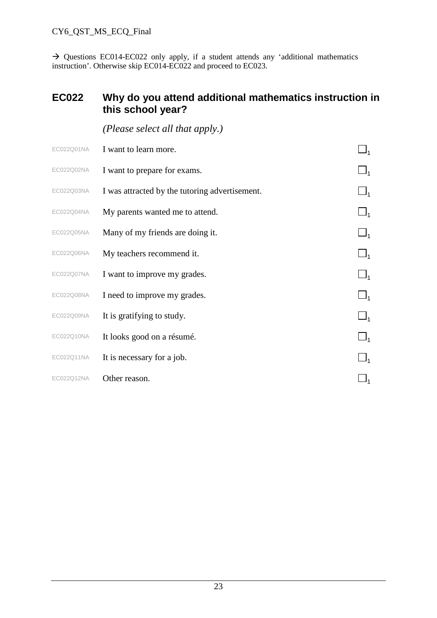$\rightarrow$  Questions EC014-EC022 only apply, if a student attends any 'additional mathematics instruction'. Otherwise skip EC014-EC022 and proceed to EC023.

## **EC022 Why do you attend additional mathematics instruction in this school year?**

| (Please select all that apply.) |  |
|---------------------------------|--|
|---------------------------------|--|

| EC022Q01NA | I want to learn more.                          |  |
|------------|------------------------------------------------|--|
| EC022Q02NA | I want to prepare for exams.                   |  |
| EC022Q03NA | I was attracted by the tutoring advertisement. |  |
| EC022Q04NA | My parents wanted me to attend.                |  |
| EC022Q05NA | Many of my friends are doing it.               |  |
| EC022Q06NA | My teachers recommend it.                      |  |
| EC022Q07NA | I want to improve my grades.                   |  |
| EC022Q08NA | I need to improve my grades.                   |  |
| EC022Q09NA | It is gratifying to study.                     |  |
| EC022Q10NA | It looks good on a résumé.                     |  |
| EC022Q11NA | It is necessary for a job.                     |  |
| EC022Q12NA | Other reason.                                  |  |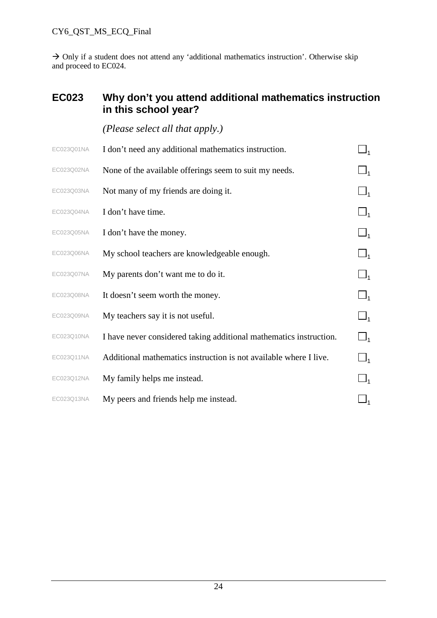$\rightarrow$  Only if a student does not attend any 'additional mathematics instruction'. Otherwise skip and proceed to EC024.

### **EC023 Why don't you attend additional mathematics instruction in this school year?**

| EC023Q01NA | I don't need any additional mathematics instruction.               |            |
|------------|--------------------------------------------------------------------|------------|
| EC023Q02NA | None of the available offerings seem to suit my needs.             | $\sqcup_1$ |
| EC023Q03NA | Not many of my friends are doing it.                               | $\Box_1$   |
| EC023Q04NA | I don't have time.                                                 |            |
| EC023Q05NA | I don't have the money.                                            |            |
| EC023Q06NA | My school teachers are knowledgeable enough.                       | $\Box_1$   |
| EC023Q07NA | My parents don't want me to do it.                                 | $\Box_1$   |
| EC023Q08NA | It doesn't seem worth the money.                                   | $\Box_1$   |
| EC023Q09NA | My teachers say it is not useful.                                  | $\Box_1$   |
| EC023Q10NA | I have never considered taking additional mathematics instruction. | $\Box_1$   |
| EC023Q11NA | Additional mathematics instruction is not available where I live.  | $\Box_1$   |
| EC023Q12NA | My family helps me instead.                                        |            |
| EC023Q13NA | My peers and friends help me instead.                              |            |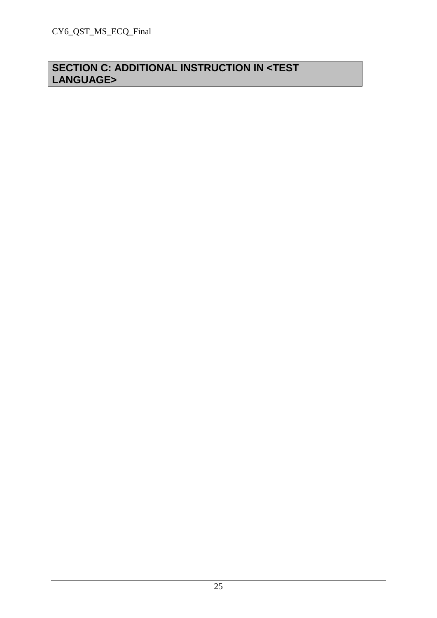# **SECTION C: ADDITIONAL INSTRUCTION IN <TEST LANGUAGE>**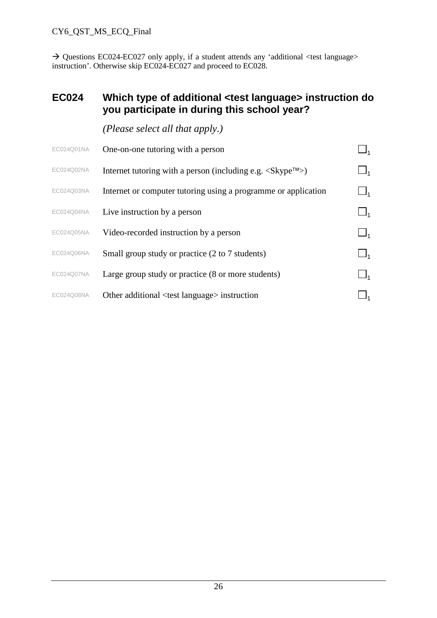$\rightarrow$  Questions EC024-EC027 only apply, if a student attends any 'additional <test language> instruction'. Otherwise skip EC024-EC027 and proceed to EC028.

### **EC024 Which type of additional <test language> instruction do you participate in during this school year?**

| EC024Q01NA | One-on-one tutoring with a person                                                                       |            |
|------------|---------------------------------------------------------------------------------------------------------|------------|
| EC024Q02NA | Internet tutoring with a person (including e.g. $\langle$ Skype <sup><math>\text{TM}</math></sup> $>$ ) | $\sqcup_1$ |
| EC024Q03NA | Internet or computer tutoring using a programme or application                                          |            |
| EC024Q04NA | Live instruction by a person                                                                            |            |
| EC024Q05NA | Video-recorded instruction by a person                                                                  |            |
| EC024Q06NA | Small group study or practice (2 to 7 students)                                                         |            |
| EC024Q07NA | Large group study or practice (8 or more students)                                                      |            |
| EC024Q08NA | Other additional <test language=""> instruction</test>                                                  |            |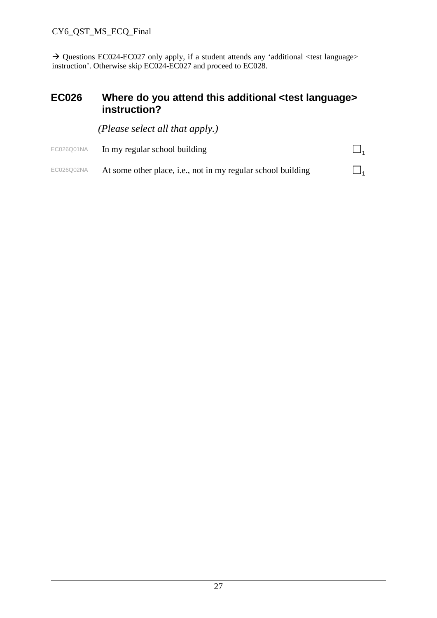$\rightarrow$  Questions EC024-EC027 only apply, if a student attends any 'additional <test language> instruction'. Otherwise skip EC024-EC027 and proceed to EC028.

### **EC026 Where do you attend this additional <test language> instruction?**

*(Please select all that apply.)*

EC026Q01NA In my regular school building  $\square_1$ EC026Q02NA At some other place, i.e., not in my regular school building  $\Box_1$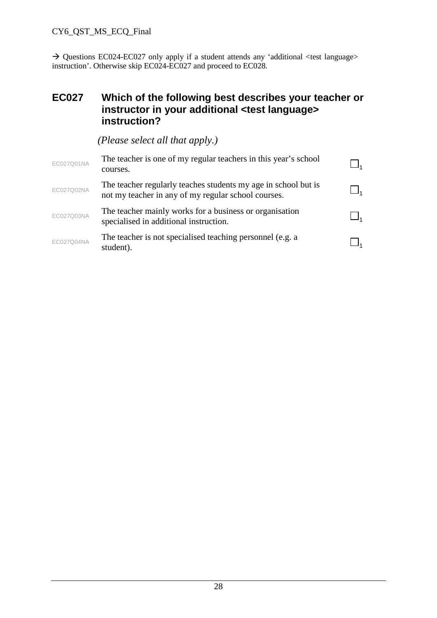$\rightarrow$  Questions EC024-EC027 only apply if a student attends any 'additional <test language> instruction'. Otherwise skip EC024-EC027 and proceed to EC028.

#### **EC027 Which of the following best describes your teacher or instructor in your additional <test language> instruction?**

| EC027Q01NA | The teacher is one of my regular teachers in this year's school<br>courses.                                           |  |
|------------|-----------------------------------------------------------------------------------------------------------------------|--|
| EC027Q02NA | The teacher regularly teaches students my age in school but is<br>not my teacher in any of my regular school courses. |  |
| EC027Q03NA | The teacher mainly works for a business or organisation<br>specialised in additional instruction.                     |  |
| EC027Q04NA | The teacher is not specialised teaching personnel (e.g. a<br>student).                                                |  |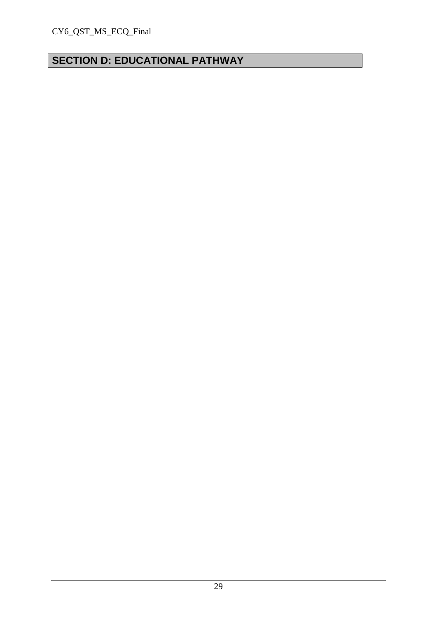# **SECTION D: EDUCATIONAL PATHWAY**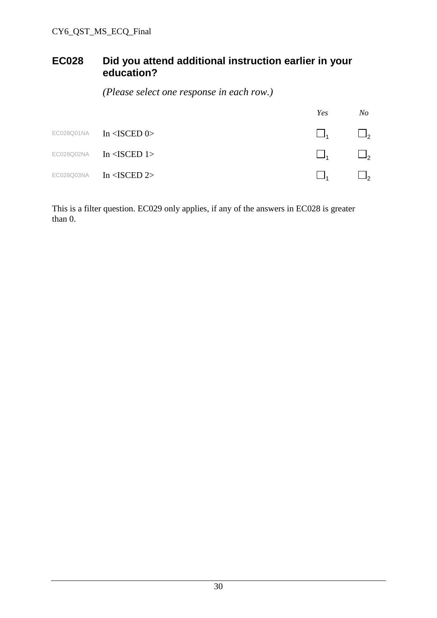## **EC028 Did you attend additional instruction earlier in your education?**

*(Please select one response in each row.)*

|            |                                                   | Yes      | No                  |
|------------|---------------------------------------------------|----------|---------------------|
|            | $EC028Q01NA$ $In ISCED$ <sup><math>0</math></sup> | $\Box_1$ | $\Box$ <sub>2</sub> |
| EC028Q02NA | In $<$ ISCED 1>                                   | $\Box$   | $\Box$ <sub>2</sub> |
| EC028Q03NA | In $\triangle$ ISCED 2>                           |          | $\Box$ <sub>2</sub> |

This is a filter question. EC029 only applies, if any of the answers in EC028 is greater than 0.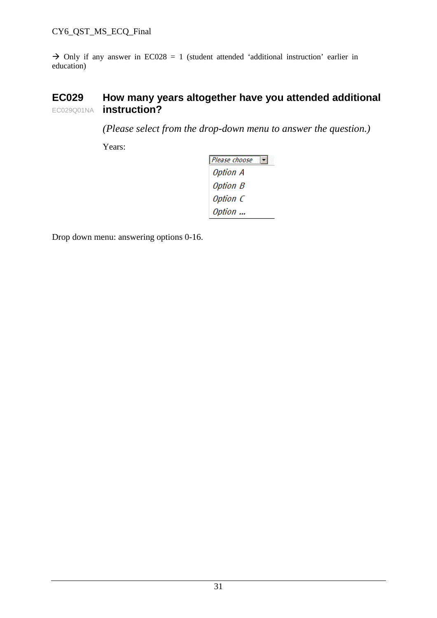$\rightarrow$  Only if any answer in EC028 = 1 (student attended 'additional instruction' earlier in education)

#### **EC029** EC029Q01NA **How many years altogether have you attended additional instruction?**

*(Please select from the drop-down menu to answer the question.)*

Years:

| Please choose |  |
|---------------|--|
| Option A      |  |
| Option B      |  |
| Option C      |  |
| Option        |  |

Drop down menu: answering options 0-16.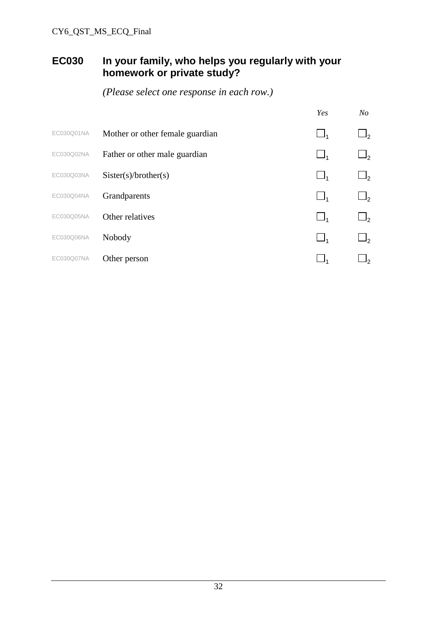# **EC030 In your family, who helps you regularly with your homework or private study?**

|            |                                 | Yes | No             |
|------------|---------------------------------|-----|----------------|
| EC030Q01NA | Mother or other female guardian |     | $\mathsf{I}_2$ |
| EC030Q02NA | Father or other male guardian   |     | $J_{2}$        |
| EC030Q03NA | Sister(s)/brother(s)            |     | $\mathsf{I}_2$ |
| EC030Q04NA | Grandparents                    |     | $\mathsf{I}_2$ |
| EC030Q05NA | Other relatives                 |     | $\sqcup$       |
| EC030Q06NA | Nobody                          |     | $\mathsf{I}_2$ |
| EC030Q07NA | Other person                    |     | $\mathsf{I}_2$ |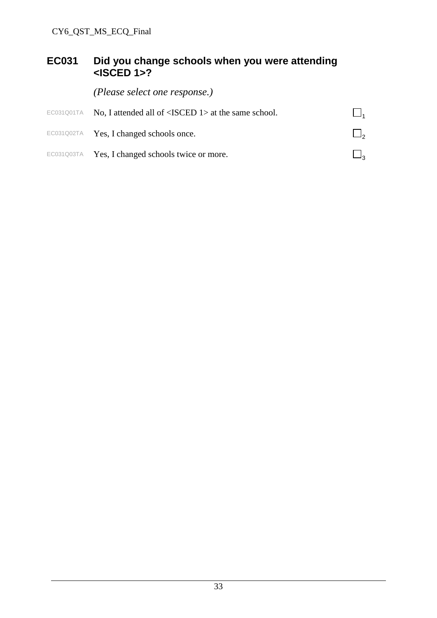## **EC031 Did you change schools when you were attending <ISCED 1>?**

*(Please select one response.)*

| EC031Q01TA No, I attended all of $\langle$ ISCED 1> at the same school. |        |
|-------------------------------------------------------------------------|--------|
| EC031Q02TA Yes, I changed schools once.                                 |        |
| EC031Q03TA Yes, I changed schools twice or more.                        | $\Box$ |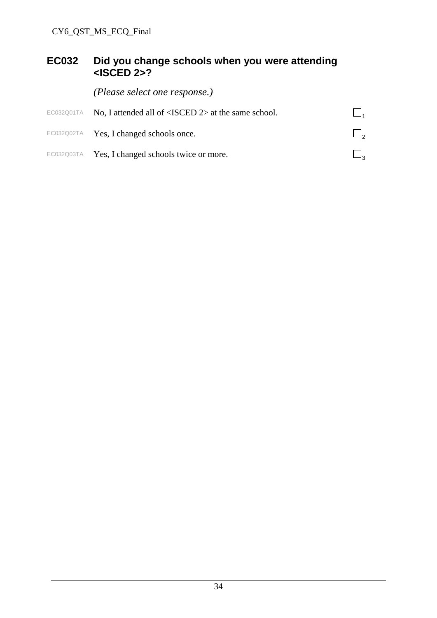## **EC032 Did you change schools when you were attending <ISCED 2>?**

*(Please select one response.)*

| EC032Q01TA No, I attended all of $\langle$ ISCED 2> at the same school. |        |
|-------------------------------------------------------------------------|--------|
| EC032Q02TA Yes, I changed schools once.                                 |        |
| EC032Q03TA Yes, I changed schools twice or more.                        | $\Box$ |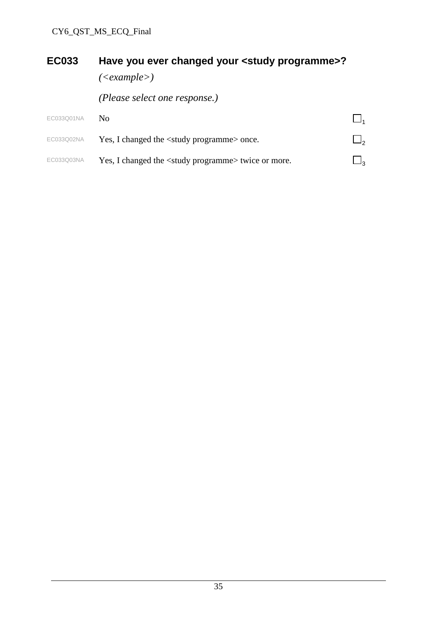# **EC033 Have you ever changed your <study programme>?**

*(<example>)*

*(Please select one response.)*

| EC033Q01NA | $N_{\Omega}$                                                   |                     |
|------------|----------------------------------------------------------------|---------------------|
| EC033Q02NA | Yes, I changed the <study programme=""> once.</study>          | $\Box$ <sub>2</sub> |
| EC033Q03NA | Yes, I changed the <study programme=""> twice or more.</study> | $\Box$              |